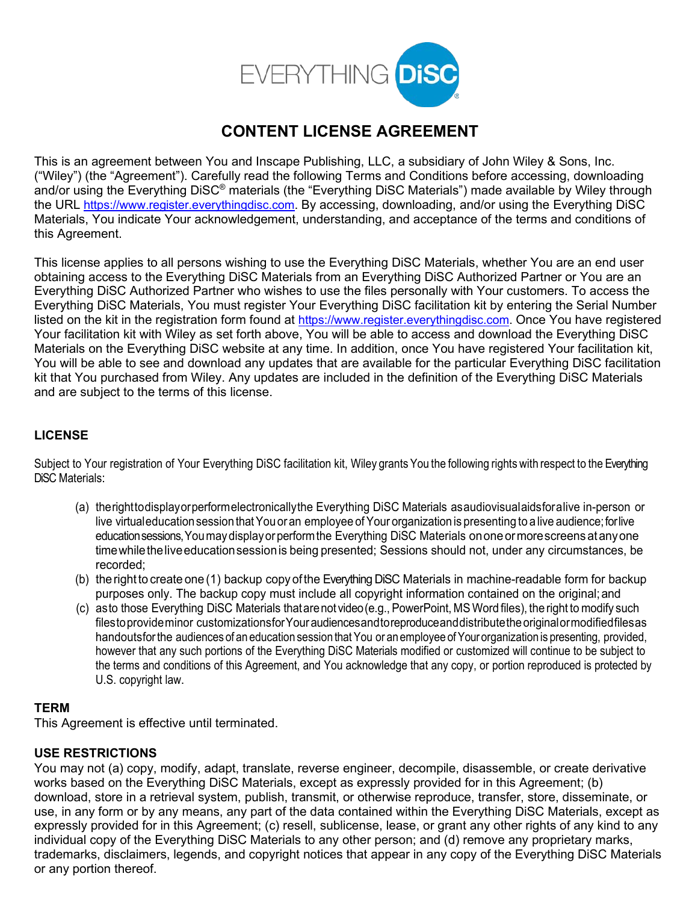

# **CONTENT LICENSE AGREEMENT**

This is an agreement between You and Inscape Publishing, LLC, a subsidiary of John Wiley & Sons, Inc. ("Wiley") (the "Agreement"). Carefully read the following Terms and Conditions before accessing, downloading and/or using the Everything DiSC® materials (the "Everything DiSC Materials") made available by Wiley through the URL [https://www.register.everythingdisc.com.](https://www.register.everythingdisc.com/) By accessing, downloading, and/or using the Everything DiSC Materials, You indicate Your acknowledgement, understanding, and acceptance of the terms and conditions of this Agreement.

This license applies to all persons wishing to use the Everything DiSC Materials, whether You are an end user obtaining access to the Everything DiSC Materials from an Everything DiSC Authorized Partner or You are an Everything DiSC Authorized Partner who wishes to use the files personally with Your customers. To access the Everything DiSC Materials, You must register Your Everything DiSC facilitation kit by entering the Serial Number listed on the kit in the registration form found at [https://www.register.everythingdisc.com.](https://www.register.everythingdisc.com/) Once You have registered Your facilitation kit with Wiley as set forth above, You will be able to access and download the Everything DiSC Materials on the Everything DiSC website at any time. In addition, once You have registered Your facilitation kit, You will be able to see and download any updates that are available for the particular Everything DiSC facilitation kit that You purchased from Wiley. Any updates are included in the definition of the Everything DiSC Materials and are subject to the terms of this license.

# **LICENSE**

Subject to Your registration of Your Everything DiSC facilitation kit, Wiley grants You the following rights with respect to the Everything DiSC Materials:

- (a) therighttodisplayorperformelectronicallythe Everything DiSC Materials asaudiovisualaidsfora live in-person or live virtualeducationsession thatYouor an employee of Your organization is presenting to a live audience;forlive educationsessions,Youmaydisplayorperformthe Everything DiSC Materials on one ormorescreens at any one time while the live education session is being presented; Sessions should not, under any circumstances, be recorded;
- (b) the right to create one (1) backup copy of the Everything DiSC Materials in machine-readable form for backup purposes only. The backup copy must include all copyright information contained on the original; and
- (c) asto those Everything DiSC Materials thatarenot video(e.g., PowerPoint, MS Word files), the right to modify such filestoprovideminor customizationsfor Your audiences and toreproduce and distribute the original or modified files as handoutsforthe audiences of an education session that You or an employee ofYour organization is presenting, provided, however that any such portions of the Everything DiSC Materials modified or customized will continue to be subject to the terms and conditions of this Agreement, and You acknowledge that any copy, or portion reproduced is protected by U.S. copyright law.

## **TERM**

This Agreement is effective until terminated.

## **USE RESTRICTIONS**

You may not (a) copy, modify, adapt, translate, reverse engineer, decompile, disassemble, or create derivative works based on the Everything DiSC Materials, except as expressly provided for in this Agreement; (b) download, store in a retrieval system, publish, transmit, or otherwise reproduce, transfer, store, disseminate, or use, in any form or by any means, any part of the data contained within the Everything DiSC Materials, except as expressly provided for in this Agreement; (c) resell, sublicense, lease, or grant any other rights of any kind to any individual copy of the Everything DiSC Materials to any other person; and (d) remove any proprietary marks, trademarks, disclaimers, legends, and copyright notices that appear in any copy of the Everything DiSC Materials or any portion thereof.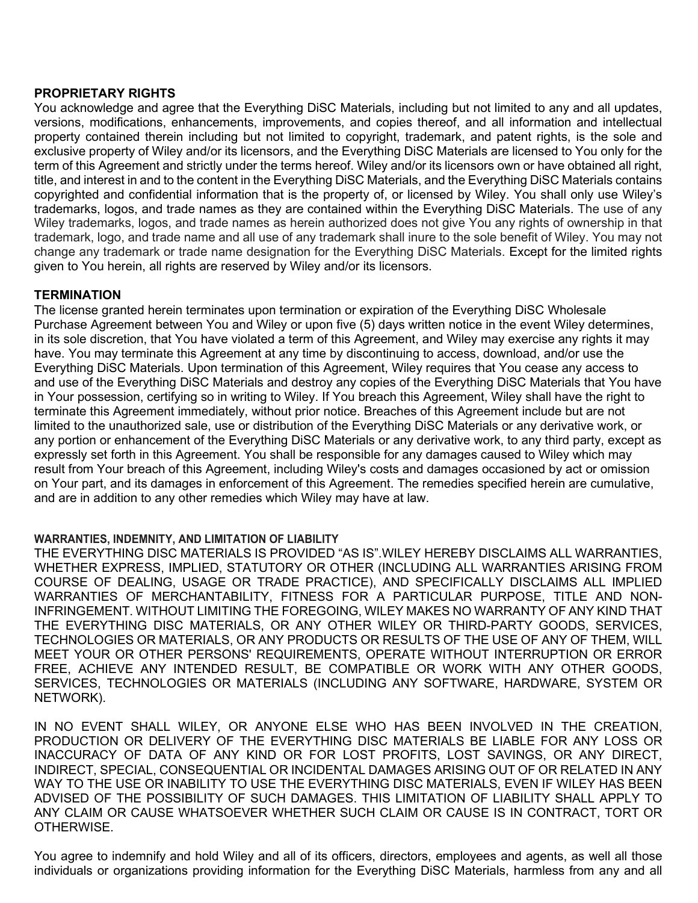#### **PROPRIETARY RIGHTS**

You acknowledge and agree that the Everything DiSC Materials, including but not limited to any and all updates, versions, modifications, enhancements, improvements, and copies thereof, and all information and intellectual property contained therein including but not limited to copyright, trademark, and patent rights, is the sole and exclusive property of Wiley and/or its licensors, and the Everything DiSC Materials are licensed to You only for the term of this Agreement and strictly under the terms hereof. Wiley and/or its licensors own or have obtained all right, title, and interest in and to the content in the Everything DiSC Materials, and the Everything DiSC Materials contains copyrighted and confidential information that is the property of, or licensed by Wiley. You shall only use Wiley's trademarks, logos, and trade names as they are contained within the Everything DiSC Materials. The use of any Wiley trademarks, logos, and trade names as herein authorized does not give You any rights of ownership in that trademark, logo, and trade name and all use of any trademark shall inure to the sole benefit of Wiley. You may not change any trademark or trade name designation for the Everything DiSC Materials. Except for the limited rights given to You herein, all rights are reserved by Wiley and/or its licensors.

## **TERMINATION**

The license granted herein terminates upon termination or expiration of the Everything DiSC Wholesale Purchase Agreement between You and Wiley or upon five (5) days written notice in the event Wiley determines, in its sole discretion, that You have violated a term of this Agreement, and Wiley may exercise any rights it may have. You may terminate this Agreement at any time by discontinuing to access, download, and/or use the Everything DiSC Materials. Upon termination of this Agreement, Wiley requires that You cease any access to and use of the Everything DiSC Materials and destroy any copies of the Everything DiSC Materials that You have in Your possession, certifying so in writing to Wiley. If You breach this Agreement, Wiley shall have the right to terminate this Agreement immediately, without prior notice. Breaches of this Agreement include but are not limited to the unauthorized sale, use or distribution of the Everything DiSC Materials or any derivative work, or any portion or enhancement of the Everything DiSC Materials or any derivative work, to any third party, except as expressly set forth in this Agreement. You shall be responsible for any damages caused to Wiley which may result from Your breach of this Agreement, including Wiley's costs and damages occasioned by act or omission on Your part, and its damages in enforcement of this Agreement. The remedies specified herein are cumulative, and are in addition to any other remedies which Wiley may have at law.

#### **WARRANTIES, INDEMNITY, AND LIMITATION OF LIABILITY**

THE EVERYTHING DISC MATERIALS IS PROVIDED "AS IS".WILEY HEREBY DISCLAIMS ALL WARRANTIES, WHETHER EXPRESS, IMPLIED, STATUTORY OR OTHER (INCLUDING ALL WARRANTIES ARISING FROM COURSE OF DEALING, USAGE OR TRADE PRACTICE), AND SPECIFICALLY DISCLAIMS ALL IMPLIED WARRANTIES OF MERCHANTABILITY, FITNESS FOR A PARTICULAR PURPOSE, TITLE AND NON-INFRINGEMENT. WITHOUT LIMITING THE FOREGOING, WILEY MAKES NO WARRANTY OF ANY KIND THAT THE EVERYTHING DISC MATERIALS, OR ANY OTHER WILEY OR THIRD-PARTY GOODS, SERVICES, TECHNOLOGIES OR MATERIALS, OR ANY PRODUCTS OR RESULTS OF THE USE OF ANY OF THEM, WILL MEET YOUR OR OTHER PERSONS' REQUIREMENTS, OPERATE WITHOUT INTERRUPTION OR ERROR FREE, ACHIEVE ANY INTENDED RESULT, BE COMPATIBLE OR WORK WITH ANY OTHER GOODS, SERVICES, TECHNOLOGIES OR MATERIALS (INCLUDING ANY SOFTWARE, HARDWARE, SYSTEM OR NETWORK).

IN NO EVENT SHALL WILEY, OR ANYONE ELSE WHO HAS BEEN INVOLVED IN THE CREATION, PRODUCTION OR DELIVERY OF THE EVERYTHING DISC MATERIALS BE LIABLE FOR ANY LOSS OR INACCURACY OF DATA OF ANY KIND OR FOR LOST PROFITS, LOST SAVINGS, OR ANY DIRECT, INDIRECT, SPECIAL, CONSEQUENTIAL OR INCIDENTAL DAMAGES ARISING OUT OF OR RELATED IN ANY WAY TO THE USE OR INABILITY TO USE THE EVERYTHING DISC MATERIALS, EVEN IF WILEY HAS BEEN ADVISED OF THE POSSIBILITY OF SUCH DAMAGES. THIS LIMITATION OF LIABILITY SHALL APPLY TO ANY CLAIM OR CAUSE WHATSOEVER WHETHER SUCH CLAIM OR CAUSE IS IN CONTRACT, TORT OR OTHERWISE.

You agree to indemnify and hold Wiley and all of its officers, directors, employees and agents, as well all those individuals or organizations providing information for the Everything DiSC Materials, harmless from any and all